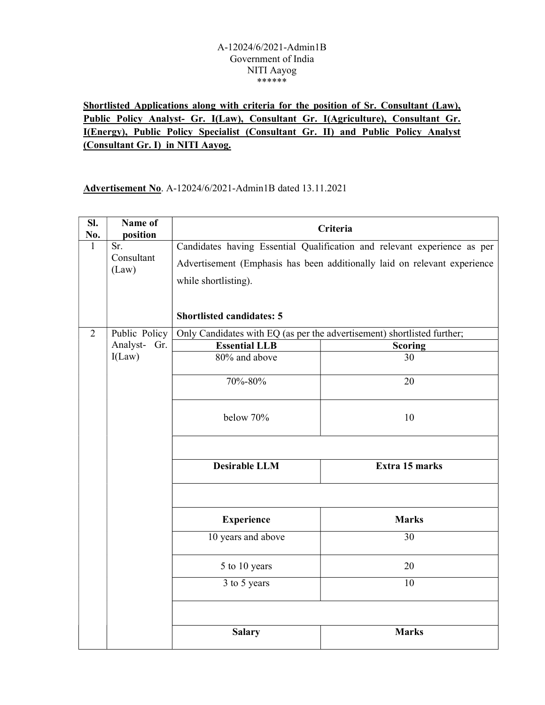#### A-12024/6/2021-Admin1B Government of India NITI Aayog \*\*\*\*\*\*

# Shortlisted Applications along with criteria for the position of Sr. Consultant (Law), Public Policy Analyst- Gr. I(Law), Consultant Gr. I(Agriculture), Consultant Gr. I(Energy), Public Policy Specialist (Consultant Gr. II) and Public Policy Analyst (Consultant Gr. I) in NITI Aayog.

Advertisement No. A-12024/6/2021-Admin1B dated 13.11.2021

| SI.<br>No.     | Name of<br>position |                                                                           | Criteria                                                                 |  |  |  |
|----------------|---------------------|---------------------------------------------------------------------------|--------------------------------------------------------------------------|--|--|--|
| $\mathbf{1}$   | Sr.                 |                                                                           | Candidates having Essential Qualification and relevant experience as per |  |  |  |
|                | Consultant          | Advertisement (Emphasis has been additionally laid on relevant experience |                                                                          |  |  |  |
|                | (Law)               | while shortlisting).                                                      |                                                                          |  |  |  |
|                |                     |                                                                           |                                                                          |  |  |  |
|                |                     |                                                                           |                                                                          |  |  |  |
|                |                     | <b>Shortlisted candidates: 5</b>                                          |                                                                          |  |  |  |
| $\overline{2}$ | Public Policy       |                                                                           | Only Candidates with EQ (as per the advertisement) shortlisted further;  |  |  |  |
|                | Analyst- Gr.        | <b>Essential LLB</b>                                                      | <b>Scoring</b>                                                           |  |  |  |
|                | I(Law)              | 80% and above                                                             | 30                                                                       |  |  |  |
|                |                     | 70%-80%                                                                   | 20                                                                       |  |  |  |
|                |                     | below 70%                                                                 | 10                                                                       |  |  |  |
|                |                     |                                                                           |                                                                          |  |  |  |
|                |                     | <b>Desirable LLM</b>                                                      | Extra 15 marks                                                           |  |  |  |
|                |                     |                                                                           |                                                                          |  |  |  |
|                |                     | <b>Experience</b>                                                         | <b>Marks</b>                                                             |  |  |  |
|                |                     | 10 years and above                                                        | 30                                                                       |  |  |  |
|                |                     | 5 to 10 years                                                             | 20                                                                       |  |  |  |
|                |                     | 3 to 5 years                                                              | 10                                                                       |  |  |  |
|                |                     |                                                                           |                                                                          |  |  |  |
|                |                     | <b>Salary</b>                                                             | <b>Marks</b>                                                             |  |  |  |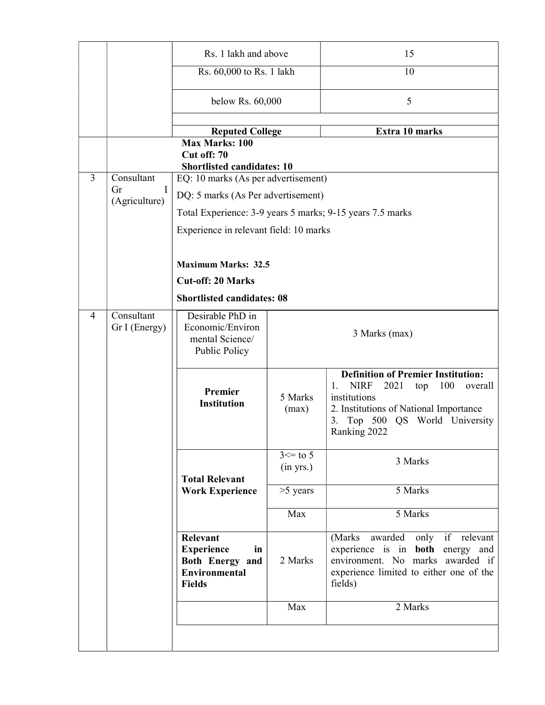|   |                                 | Rs. 1 lakh and above                                                                            |                             | 15                                                                                                                                                                                                          |  |  |
|---|---------------------------------|-------------------------------------------------------------------------------------------------|-----------------------------|-------------------------------------------------------------------------------------------------------------------------------------------------------------------------------------------------------------|--|--|
|   |                                 | Rs. 60,000 to Rs. 1 lakh                                                                        |                             | 10                                                                                                                                                                                                          |  |  |
|   |                                 | below Rs. 60,000                                                                                |                             | 5                                                                                                                                                                                                           |  |  |
|   |                                 | <b>Reputed College</b>                                                                          |                             | Extra 10 marks                                                                                                                                                                                              |  |  |
|   |                                 | <b>Max Marks: 100</b><br>Cut off: 70<br><b>Shortlisted candidates: 10</b>                       |                             |                                                                                                                                                                                                             |  |  |
| 3 | Consultant<br>$\mathbf I$<br>Gr | EQ: 10 marks (As per advertisement)                                                             |                             |                                                                                                                                                                                                             |  |  |
|   | (Agriculture)                   | DQ: 5 marks (As Per advertisement)                                                              |                             |                                                                                                                                                                                                             |  |  |
|   |                                 |                                                                                                 |                             | Total Experience: 3-9 years 5 marks; 9-15 years 7.5 marks                                                                                                                                                   |  |  |
|   |                                 | Experience in relevant field: 10 marks                                                          |                             |                                                                                                                                                                                                             |  |  |
|   |                                 |                                                                                                 |                             |                                                                                                                                                                                                             |  |  |
|   |                                 | <b>Maximum Marks: 32.5</b>                                                                      |                             |                                                                                                                                                                                                             |  |  |
|   |                                 | <b>Cut-off: 20 Marks</b>                                                                        |                             |                                                                                                                                                                                                             |  |  |
|   |                                 | <b>Shortlisted candidates: 08</b>                                                               |                             |                                                                                                                                                                                                             |  |  |
| 4 | Consultant<br>Gr I (Energy)     | Desirable PhD in<br>Economic/Environ<br>mental Science/<br>Public Policy                        |                             | 3 Marks (max)                                                                                                                                                                                               |  |  |
|   |                                 | Premier<br><b>Institution</b>                                                                   | 5 Marks<br>(max)            | <b>Definition of Premier Institution:</b><br><b>NIRF</b><br>2021<br>100<br>1.<br>overall<br>top<br>institutions<br>2. Institutions of National Importance<br>3. Top 500 QS World University<br>Ranking 2022 |  |  |
|   |                                 | <b>Total Relevant</b>                                                                           | $3 \leq t_0 5$<br>(in yrs.) | 3 Marks                                                                                                                                                                                                     |  |  |
|   |                                 | <b>Work Experience</b>                                                                          | $>5$ years                  | 5 Marks                                                                                                                                                                                                     |  |  |
|   |                                 |                                                                                                 | Max                         | 5 Marks                                                                                                                                                                                                     |  |  |
|   |                                 | Relevant<br><b>Experience</b><br>in<br>Both Energy and<br><b>Environmental</b><br><b>Fields</b> | 2 Marks                     | only if relevant<br>(Marks awarded<br>experience is in <b>both</b> energy and<br>environment. No marks awarded if<br>experience limited to either one of the<br>fields)                                     |  |  |
|   |                                 |                                                                                                 | Max                         | 2 Marks                                                                                                                                                                                                     |  |  |
|   |                                 |                                                                                                 |                             |                                                                                                                                                                                                             |  |  |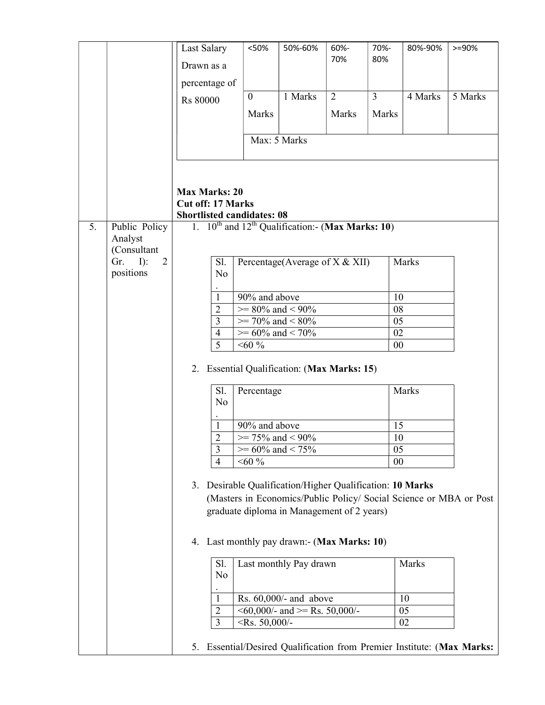|    |                          | Last Salary                                                              | <50%                   | 50%-60%                                    | 60%-<br>70%    | 70%-<br>80%    | 80%-90% | $>= 90%$                                                            |
|----|--------------------------|--------------------------------------------------------------------------|------------------------|--------------------------------------------|----------------|----------------|---------|---------------------------------------------------------------------|
|    |                          | Drawn as a                                                               |                        |                                            |                |                |         |                                                                     |
|    |                          | percentage of                                                            |                        |                                            |                |                |         |                                                                     |
|    |                          | <b>Rs 80000</b>                                                          | $\theta$               | 1 Marks                                    | $\overline{2}$ | $\overline{3}$ | 4 Marks | 5 Marks                                                             |
|    |                          |                                                                          | Marks                  |                                            | Marks          | Marks          |         |                                                                     |
|    |                          |                                                                          |                        | Max: 5 Marks                               |                |                |         |                                                                     |
|    |                          |                                                                          |                        |                                            |                |                |         |                                                                     |
|    |                          | <b>Max Marks: 20</b>                                                     |                        |                                            |                |                |         |                                                                     |
|    |                          | <b>Cut off: 17 Marks</b>                                                 |                        |                                            |                |                |         |                                                                     |
|    |                          | <b>Shortlisted candidates: 08</b>                                        |                        |                                            |                |                |         |                                                                     |
| 5. | Public Policy<br>Analyst | 1. $10^{\text{th}}$ and $12^{\text{th}}$ Qualification:- (Max Marks: 10) |                        |                                            |                |                |         |                                                                     |
|    | (Consultant<br>Gr.<br>2  |                                                                          |                        |                                            |                |                |         |                                                                     |
|    | $I$ :<br>positions       | Sl.<br>N <sub>o</sub>                                                    |                        | Percentage(Average of X & XII)             |                |                | Marks   |                                                                     |
|    |                          | $\mathbf{1}$                                                             | 90% and above          |                                            |                | 10             |         |                                                                     |
|    |                          | $\overline{2}$                                                           |                        | $>= 80\%$ and $< 90\%$                     |                | 08             |         |                                                                     |
|    |                          | 3                                                                        |                        | $\gg$ 70% and < 80%                        |                | 05             |         |                                                                     |
|    |                          | $\overline{4}$                                                           |                        | $>= 60\%$ and < 70%                        |                | 02             |         |                                                                     |
|    |                          | 5                                                                        | $<60\%$                |                                            |                | 00             |         |                                                                     |
|    |                          | 2. Essential Qualification: (Max Marks: 15)                              |                        |                                            |                |                |         |                                                                     |
|    |                          | Sl.<br>N <sub>o</sub>                                                    | Percentage             |                                            |                |                | Marks   |                                                                     |
|    |                          | 1                                                                        | 90% and above          |                                            |                | 15             |         |                                                                     |
|    |                          | $\overline{2}$                                                           |                        | $\ge$ 75% and < 90%                        |                | 10             |         |                                                                     |
|    |                          | 3                                                                        |                        | $>= 60\%$ and $< 75\%$                     |                | 05             |         |                                                                     |
|    |                          | $\overline{4}$                                                           | $<60\%$                |                                            |                | 00             |         |                                                                     |
|    |                          | 3. Desirable Qualification/Higher Qualification: 10 Marks                |                        | graduate diploma in Management of 2 years) |                |                |         | (Masters in Economics/Public Policy/ Social Science or MBA or Post  |
|    |                          | 4. Last monthly pay drawn:- (Max Marks: 10)                              |                        |                                            |                |                |         |                                                                     |
|    |                          | Sl.<br>N <sub>o</sub>                                                    |                        | Last monthly Pay drawn                     |                |                | Marks   |                                                                     |
|    |                          | 1                                                                        |                        | Rs. 60,000/- and above                     |                |                | 10      |                                                                     |
|    |                          | 2                                                                        |                        | $\leq 60,000/$ - and $\geq$ Rs. 50,000/-   |                |                | 05      |                                                                     |
|    |                          | 3                                                                        | $\langle$ Rs. 50,000/- |                                            |                |                | 02      |                                                                     |
|    |                          | 5.                                                                       |                        |                                            |                |                |         | Essential/Desired Qualification from Premier Institute: (Max Marks: |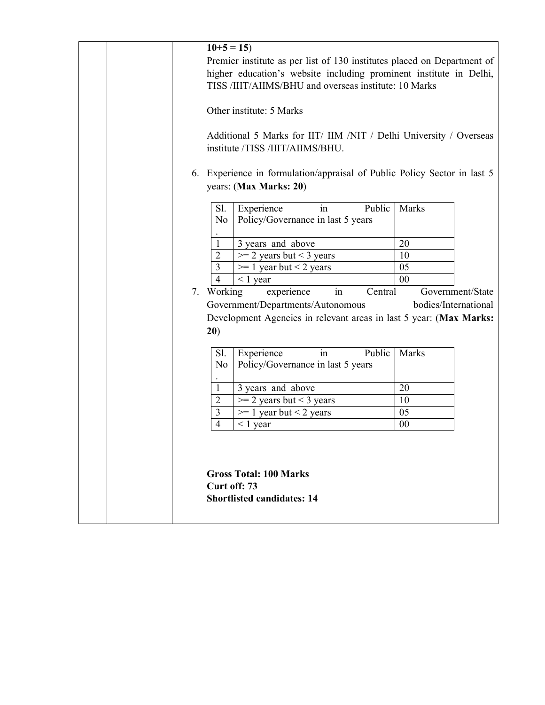| $10+5=15$                                                                                                                                                                                              |                      |
|--------------------------------------------------------------------------------------------------------------------------------------------------------------------------------------------------------|----------------------|
| Premier institute as per list of 130 institutes placed on Department of<br>higher education's website including prominent institute in Delhi,<br>TISS /IIIT/AIIMS/BHU and overseas institute: 10 Marks |                      |
| Other institute: 5 Marks                                                                                                                                                                               |                      |
| Additional 5 Marks for IIT/ IIM /NIT / Delhi University / Overseas<br>institute /TISS /IIIT/AIIMS/BHU.                                                                                                 |                      |
| 6. Experience in formulation/appraisal of Public Policy Sector in last 5<br>years: (Max Marks: 20)                                                                                                     |                      |
| Experience<br>Public<br>Sl.<br>in<br>Policy/Governance in last 5 years<br>No                                                                                                                           | Marks                |
| 3 years and above<br>1                                                                                                                                                                                 | 20                   |
| 2<br>$>=$ 2 years but $<$ 3 years                                                                                                                                                                      | 10                   |
| 3<br>$\geq 1$ year but < 2 years                                                                                                                                                                       | 05                   |
| $\overline{4}$<br>$< 1$ year                                                                                                                                                                           | 00                   |
| 7. Working<br>experience<br>Central<br>in                                                                                                                                                              | Government/State     |
| Government/Departments/Autonomous                                                                                                                                                                      | bodies/International |
| Development Agencies in relevant areas in last 5 year: (Max Marks:                                                                                                                                     |                      |
| 20)                                                                                                                                                                                                    |                      |
| Public<br>Experience<br>Sl.<br>in                                                                                                                                                                      | Marks                |
| Policy/Governance in last 5 years<br>No                                                                                                                                                                |                      |
|                                                                                                                                                                                                        |                      |
| 3 years and above<br>$\mathbf{1}$                                                                                                                                                                      | 20                   |
| $>=$ 2 years but < 3 years<br>$\overline{2}$                                                                                                                                                           | 10                   |
| 3<br>$\geq 1$ year but < 2 years                                                                                                                                                                       | 05                   |
| $\overline{4}$<br>$< 1$ year                                                                                                                                                                           | 00                   |
|                                                                                                                                                                                                        |                      |
|                                                                                                                                                                                                        |                      |
| <b>Gross Total: 100 Marks</b>                                                                                                                                                                          |                      |
| Curt off: 73                                                                                                                                                                                           |                      |
| <b>Shortlisted candidates: 14</b>                                                                                                                                                                      |                      |
|                                                                                                                                                                                                        |                      |
|                                                                                                                                                                                                        |                      |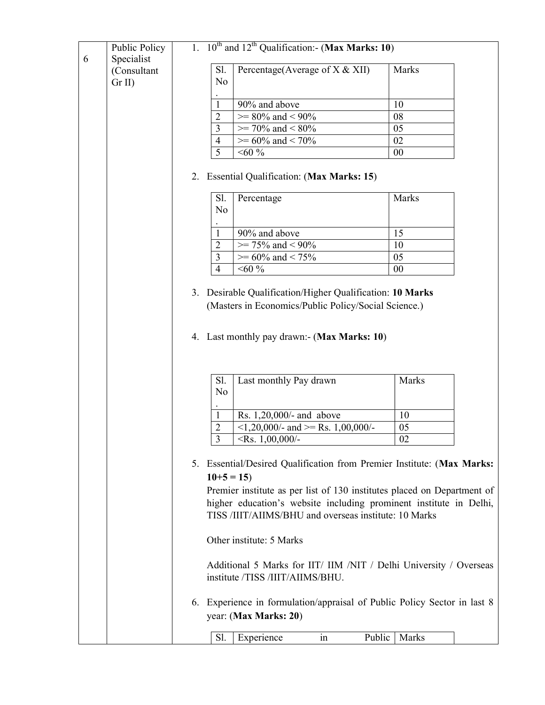|   | Public Policy                          |    |                       | 1. $10^{th}$ and $12^{th}$ Qualification:- (Max Marks: 10)                                                                                                                                                              |          |  |
|---|----------------------------------------|----|-----------------------|-------------------------------------------------------------------------------------------------------------------------------------------------------------------------------------------------------------------------|----------|--|
| 6 | Specialist<br>(Consultant<br>$Gr II$ ) |    | Sl.<br>No             | Percentage(Average of $X & XII$ )                                                                                                                                                                                       | Marks    |  |
|   |                                        |    |                       |                                                                                                                                                                                                                         |          |  |
|   |                                        |    | 1                     | 90% and above                                                                                                                                                                                                           | 10       |  |
|   |                                        |    | 2<br>3                | $>= 80\%$ and $< 90\%$<br>$\ge$ 70% and < 80%                                                                                                                                                                           | 08<br>05 |  |
|   |                                        |    | $\overline{4}$        | $\overline{>}$ 60% and < 70%                                                                                                                                                                                            | 02       |  |
|   |                                        |    | $\overline{5}$        | $<\!\!60$ $\!\%$                                                                                                                                                                                                        | 00       |  |
|   |                                        | 2. |                       | <b>Essential Qualification: (Max Marks: 15)</b>                                                                                                                                                                         |          |  |
|   |                                        |    | Sl.<br>No             | Percentage                                                                                                                                                                                                              | Marks    |  |
|   |                                        |    | 1                     | 90% and above                                                                                                                                                                                                           | 15       |  |
|   |                                        |    | $\overline{2}$        | $\ge$ 75% and < 90%                                                                                                                                                                                                     | 10       |  |
|   |                                        |    | 3                     | $\overline{>}$ 60% and < 75%                                                                                                                                                                                            | 05       |  |
|   |                                        |    | $\overline{4}$        | $<60\%$                                                                                                                                                                                                                 | 00       |  |
|   |                                        |    |                       |                                                                                                                                                                                                                         |          |  |
|   |                                        |    |                       | 4. Last monthly pay drawn:- (Max Marks: 10)                                                                                                                                                                             |          |  |
|   |                                        |    | Sl.<br>N <sub>o</sub> | Last monthly Pay drawn                                                                                                                                                                                                  | Marks    |  |
|   |                                        |    | 1                     | Rs. 1,20,000/- and above                                                                                                                                                                                                | 10       |  |
|   |                                        |    | 2                     | $\langle 1,20,000 \rangle$ - and $\langle 1,00,000 \rangle$ -                                                                                                                                                           | 05       |  |
|   |                                        |    | 3                     | $\langle$ Rs. 1,00,000/-                                                                                                                                                                                                | 02       |  |
|   |                                        |    | $10+5=15$             | 5. Essential/Desired Qualification from Premier Institute: (Max Marks:<br>Premier institute as per list of 130 institutes placed on Department of<br>higher education's website including prominent institute in Delhi, |          |  |
|   |                                        |    |                       | TISS /IIIT/AIIMS/BHU and overseas institute: 10 Marks<br>Other institute: 5 Marks                                                                                                                                       |          |  |
|   |                                        |    |                       | Additional 5 Marks for IIT/ IIM /NIT / Delhi University / Overseas<br>institute /TISS /IIIT/AIIMS/BHU.                                                                                                                  |          |  |
|   |                                        |    |                       | 6. Experience in formulation/appraisal of Public Policy Sector in last 8<br>year: (Max Marks: 20)                                                                                                                       |          |  |
|   |                                        |    | Sl.                   | Experience<br>Public<br>in                                                                                                                                                                                              | Marks    |  |
|   |                                        |    |                       |                                                                                                                                                                                                                         |          |  |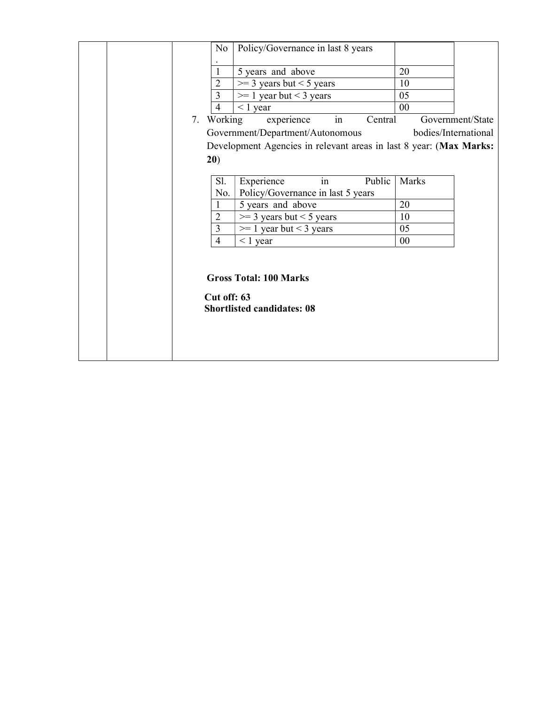| No             | Policy/Governance in last 8 years                                  |       |                      |
|----------------|--------------------------------------------------------------------|-------|----------------------|
| 1              | 5 years and above                                                  | 20    |                      |
| $\overline{2}$ | $\geq$ 3 years but < 5 years                                       | 10    |                      |
| 3              | $\geq 1$ year but < 3 years                                        | 05    |                      |
| $\overline{4}$ | $\leq 1$ year                                                      | 00    |                      |
| 7. Working     | in<br>experience<br>Central                                        |       | Government/State     |
|                | Government/Department/Autonomous                                   |       | bodies/International |
|                | Development Agencies in relevant areas in last 8 year: (Max Marks: |       |                      |
| 20)            |                                                                    |       |                      |
|                |                                                                    |       |                      |
| Sl.            | in<br>Public<br>Experience                                         | Marks |                      |
| No.            | Policy/Governance in last 5 years                                  |       |                      |
| $\mathbf{1}$   | 5 years and above                                                  | 20    |                      |
| $\overline{2}$ | $\geq$ 3 years but < 5 years                                       | 10    |                      |
| $\overline{3}$ | $\geq 1$ year but < 3 years                                        | 05    |                      |
| $\overline{4}$ | $\leq$ 1 year                                                      | 00    |                      |
|                |                                                                    |       |                      |
| Cut off: 63    | <b>Gross Total: 100 Marks</b><br><b>Shortlisted candidates: 08</b> |       |                      |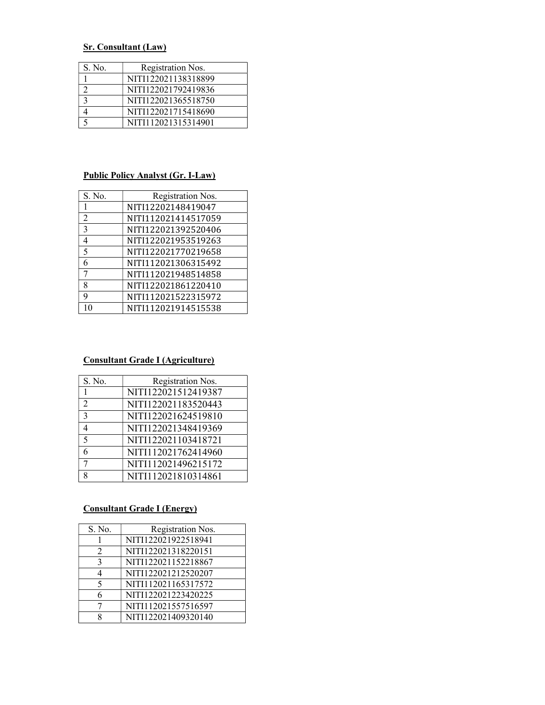# Sr. Consultant (Law)

| S. No. | Registration Nos.   |
|--------|---------------------|
|        | NITI122021138318899 |
|        | NITI122021792419836 |
|        | NITI122021365518750 |
|        | NITI122021715418690 |
|        | NITI112021315314901 |

## Public Policy Analyst (Gr. I-Law)

| S. No.         | Registration Nos.   |
|----------------|---------------------|
| 1              | NITI12202148419047  |
| $\overline{2}$ | NITI112021414517059 |
| $\overline{3}$ | NITI122021392520406 |
| $\overline{4}$ | NITI122021953519263 |
| 5              | NITI122021770219658 |
| 6              | NITI112021306315492 |
| 7              | NITI112021948514858 |
| 8              | NITI122021861220410 |
| q              | NITI112021522315972 |
| 10             | NITI112021914515538 |

# Consultant Grade I (Agriculture)

| S. No.         | Registration Nos.   |
|----------------|---------------------|
|                | NITI122021512419387 |
| $\overline{2}$ | NITI122021183520443 |
| 3              | NITI122021624519810 |
| 4              | NITI122021348419369 |
| 5              | NITI122021103418721 |
|                | NITI112021762414960 |
|                | NITI112021496215172 |
|                | NITI112021810314861 |

## Consultant Grade I (Energy)

| S. No.         | Registration Nos.   |
|----------------|---------------------|
|                | NITI122021922518941 |
| $\mathfrak{D}$ | NITI122021318220151 |
| 3              | NITI122021152218867 |
| 4              | NITI122021212520207 |
| 5              | NITI112021165317572 |
| 6              | NITI122021223420225 |
|                | NITI112021557516597 |
| Q              | NITI122021409320140 |